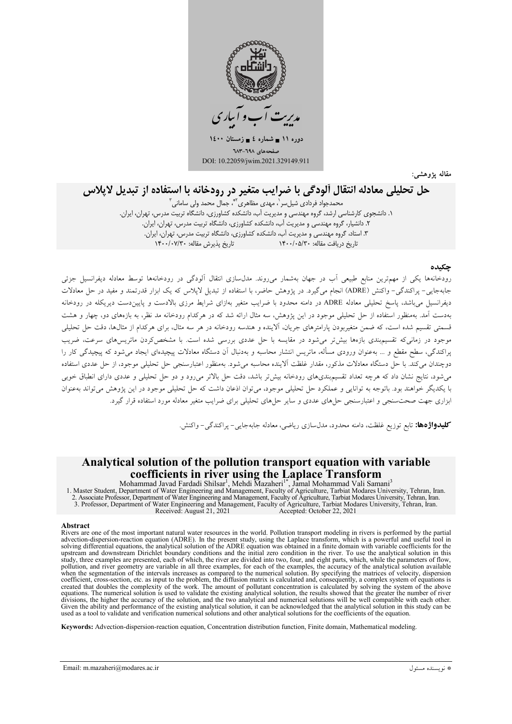

مقاله يژوهشي:

# حل تحلیلی معادله انتقال آلودگی با ضرایب متغیر در رودخانه با استفاده از تبدیل لاپلاس

۰**۰۰ - حی ۰-** در ۰۰۰۰ .<br>محمدجواد فردادی شیل سر ، مهدی مظاهری <sup>۶۰</sup>۰ جمال محمد ولی سامانی <sup>۲</sup> ۰. دانشجوی کارشناسی ارشد، گروه مهندسی و مدیریت آب، دانشکده کشاورزی، دانشگاه تربیت مدرس، تهران، ایران. ۲. دانشیار، گروه مهندسی و مدیریت آب، دانشکده کشاورزی، دانشگاه تربیت مدرس، تهران، ایران. ۳. استاد، گروه مهندسی و مدیریت آب، دانشکده کشاورزی، دانشگاه تربیت مدرس، تهران، ایران. تاریخ دریافت مقاله: ۱۴۰۰/۰۵/۳۰ تاریخ پذیرش مقاله: ۱۴۰۰/۰۷/۳۰

#### حكىدە

رودخانهها یکی از مهمترین منابع طبیعی آب در جهان بهشمار میروند. مدل سازی انتقال آلودگی در رودخانهها توسط معادله دیفرانسیل جزئی جابهجایی- پراکندگی- واکنش (ADRE) انجام میگیرد. در پژوهش حاضر، با استفاده از تبدیل لاپلاس که یک ابزار قدرتمند و مفید در حل معادلات دیفرانسیل میباشد، پاسخ تحلیلی معادله ADRE در دامنه محدود با ضرایب متغیر بهازای شرایط مرزی بالادست و پاییندست دیریکله در رودخانه .<br>بهدست آمد. بهمنظور استفاده از حل تحلیلی موجود در این پژوهش، سه مثال ارائه شد که در هرکدام رودخانه مد نظر، به بازههای دو، چهار و هشت .<br>قسمتی تقسیم شده است، که ضمن متغیربودن یارامترهای جریان، آلاینده و هندسه رودخانه در هر سه مثال، برای هرکدام از مثالها، دقت حل تحلیلی .<br>موجود در زمانی که تقسیمپندی بازهها بیش تر می شود در مقایسه با حل عددی بررسی شده است. با مشخص کردن ماتریس های سرعت، ضریب پراکندگی، سطح مقطع و … بهعنوان ورودی مسأله، ماتریس انتشار محاسبه و بهدنبال آن دستگاه معادلات پیچیدهای ایجاد می شود که پیچیدگی کار را دوچندان می کند. با حل دستگاه معادلات مذکور، مقدار غلظت آلاینده محاسبه می شود. بهمنظور اعتبارسنجی حل تحلیلی موجود، از حل عددی استفاده می شود، نتایج نشان داد که هرچه تعداد تقسیم بندیهای رودخانه بیش تر باشد، دقت حل بالاتر می رود و دو حل تحلیلی و عددی دارای انطباق خوبی با یکدیگر خواهند بود. باتوجه به توانایی و عملکرد حل تحلیلی موجود، می توان اذعان داشت که حل تحلیلی موجود در این پژوهش می تواند بهعنوان بزاری جهت صحتسنجی و اعتبارسنجی حلهای عددی و سایر حلهای تحلیلی برای ضرایب متغیر معادله مورد استفاده قرار گیرد.

**کلیدواژهها:** تابع توزیع غلظت، دامنه محدود، مدلسازی ریاضی، معادله جابهجایی – پراکندگ<sub>ه</sub> – واکنش.

### Analytical solution of the pollution transport equation with variable coefficients in river using the Laplace Transform

Mohammad Javad Fardadi Shilsar<sup>1</sup>, Mehdi Mazaheri<sup>1</sup>, Jamal Mohammad Vali Samani<sup>3</sup><br>1. Master Student, Department of Water Engineering and Management, Faculty of Agriculture, Tarbiat Modares University, Tehran, Iran.<br>2. As Received: August 21, 2021 Accepted: October 22, 2021

#### **Abstract**

Rivers are one of the most important natural water resources in the world. Pollution transport modeling in rivers is performed by the partial advection-dispersion-reaction equation (ADRE). In the present study, using the Laplace transform, which is a powerful and useful tool in solving differential equations, the analytical solution of the ADRE equation was obtained in a finite domain with variable coefficients for the upstream and downstream Dirichlet boundary conditions and the initial zero con study, three examples are presented, each of which, the river are divided into two, four, and eight parts, which, while the parameters of flow, pollution, and river geometry are variable in all three examples, for each of the examples, the accuracy of the analytical solution available<br>when the segmentation of the intervals increases as compared to the numerical so where the segmentation of the intervals increases as compared to the numerical solution. By spectry mig the matrices of vectors, uspectral consequently, a complex system of equations is calculated and, consequently, a comp equations. The numerical solution is used to validate the existing analytical solution, the results showed that the greater the number of river divisions, the higher the accuracy of the solution, and the two analytical and numerical solutions will be well compatible with each other. Given the ability and performance of the existing analytical solution, it can be acknowledged that the analytical solution in this study can be used as a tool to validate and verification numerical solutions and other anal

Keywords: Advection-dispersion-reaction equation, Concentration distribution function, Finite domain, Mathematical modeling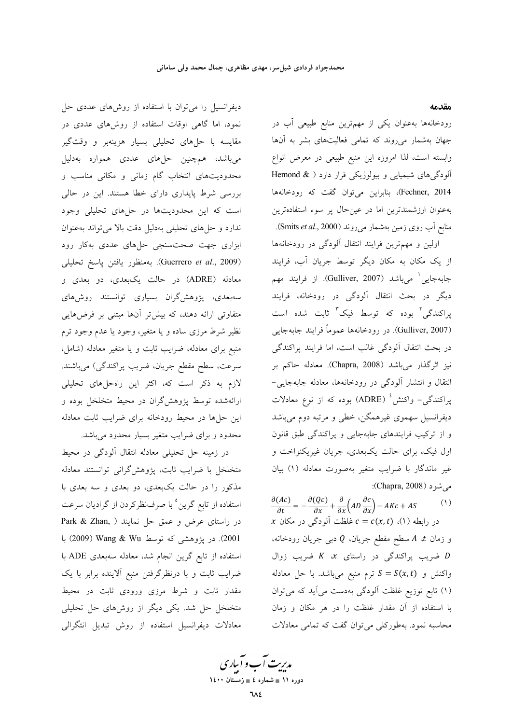مقدمه

رودخانهها بهعنوان يكي از مهمترين منابع طبيعي آب در جهان بهشمار میروند که تمامی فعالیتهای بشر به آنها وابسته است، لذا امروزه این منبع طبیعی در معرض انواع آلودگیهای شیمیایی و بیولوژیکی قرار دارد ( & Hemond Fechner, 2014)، بنابراین میتوان گفت که رودخانهها بهعنوان ارزشمندترین اما در عینحال پر سوء استفادهترین منابع آب روی زمین بهشمار میروند (Smits et al., 2000).

اولین و مهمترین فرایند انتقال آلودگی در رودخانهها از یک مکان به مکان دیگر توسط جریان آب، فرایند جابهجايي<sup>י</sup> ميباشد (Gulliver, 2007). از فرايند مهم دیگر در بحث انتقال آلودگی در رودخانه، فرایند پراکندگی<sup>۲</sup> بوده که توسط فیک<sup>۳</sup> ثابت شده است (Gulliver, 2007). در رودخانهها عموماً فرايند جابهجايي در بحث انتقال آلودگی غالب است، اما فرایند پراکندگی نیز اثرگذار میباشد (Chapra, 2008). معادله حاکم بر انتقال و انتشار آلودگی در رودخانهها، معادله جابهجایی-پراکندگی- واکنش<sup>،</sup> (ADRE) بوده که از نوع معادلات دیفرانسیل سهموی غیرهمگن، خطی و مرتبه دوم میباشد و از ترکیب فرایندهای جابهجایی و پراکندگی طبق قانون اول فیک، برای حالت یکبعدی، جریان غیریکنواخت و غیر ماندگار با ضرایب متغیر بهصورت معادله (۱) بیان می شو د (Chapra, 2008):

 $\frac{\partial (AC)}{\partial t} = -\frac{\partial (Qc)}{\partial x} + \frac{\partial}{\partial x} \left( AD \frac{\partial c}{\partial x} \right) - AKc + AS$  $(1)$ x در رابطه (۱)،  $c = c(x, t)$  غلظت آلودگی در مکان و زمان  $A$  سطح مقطع جريان، Q دبي جريان رودخانه، فسريب پراكندگى در راستاى  $x$   $X$  ضريب زوال  $D$ واکنش و  $S = S(x, t)$  ترم منبع میباشد. با حل معادله (۱) تابع توزیع غلظت آلودگی بهدست میآید که میتوان با استفاده از آن مقدار غلظت را در هر مکان و زمان محاسبه نمود. بهطورکلی می توان گفت که تمامی معادلات

دیفرانسیل را میتوان با استفاده از روشهای عددی حل نمود، اما گاهی اوقات استفاده از روشهای عددی در مقایسه با حلهای تحلیلی بسیار هزینهبر و وقتگیر میباشد، همچنین حلهای عددی همواره بهدلیل محدودیتهای انتخاب گام زمانی و مکانی مناسب و بررسی شرط پایداری دارای خطا هستند. این در حالی است که این محدودیتها در حلهای تحلیلی وجود ندارد و حلهای تحلیلی بهدلیل دقت بالا میتواند بهعنوان ابزاری جهت صحت سنجی حلهای عددی بهکار رود (Guerrero et al., 2009). بهمنظور يافتن پاسخ تحليلي معادله (ADRE) در حالت یکبعدی، دو بعدی و سەبعدى، يژوهش گران بسيارى توانستند روش،هاي متفاوتی ارائه دهند، که بیشتر آنها مبتنی بر فرضهایی نظیر شرط مرزی ساده و یا متغیر، وجود یا عدم وجود ترم منبع برای معادله، ضرایب ثابت و یا متغیر معادله (شامل، سرعت، سطح مقطع جريان، ضريب پراكندگي) ميباشند. .<br>لازم به ذکر است که، اکثر این راهحلهای تحلیلی ارائهشده توسط یژوهش گران در محیط متخلخل بوده و این حلها در محیط رودخانه برای ضرایب ثابت معادله محدود و برای ضرایب متغیر بسیار محدود میباشد.

در زمینه حل تحلیلی معادله انتقال آلودگی در محیط متخلخل با ضرايب ثابت، پژوهش گرانی توانستند معادله مذکور را در حالت یکبعدی، دو بعدی و سه بعدی با استفاده از تابع گرین° با صرفنظرکردن از گرادیان سرعت در راستای عرض و عمق حل نمایند ( Park & Zhan, 2001). در پژوهشی که توسط Wang & Wu (2009) با استفاده از تابع گرین انجام شد، معادله سهبعدی ADE با ضرایب ثابت و با درنظرگرفتن منبع آلاینده برابر با یک مقدار ثابت و شرط مرزی ورودی ثابت در محیط متخلخل حل شد. یکی دیگر از روشهای حل تحلیلی معادلات ديفرانسيل استفاده از روش تبديل انتگرالي

مدیریت آب و آبیاری<br>م دوره ۱۱ ∎ شماره ٤ ∎ زمستان ۱٤۰۰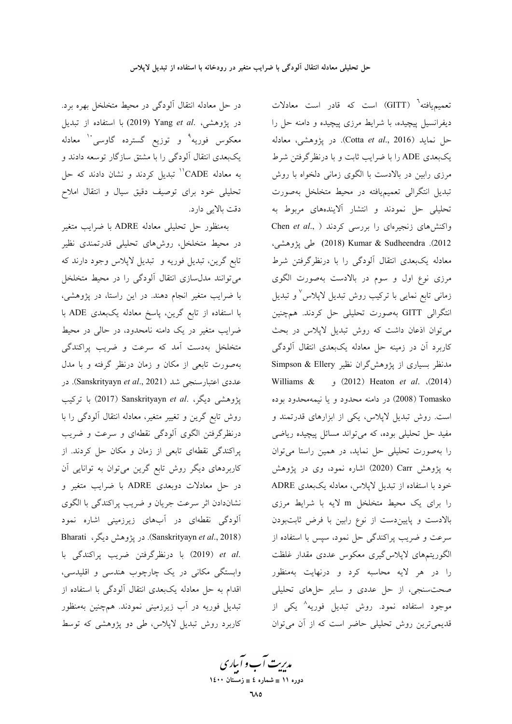در حل معادله انتقال آلودگی در محیط متخلخل بهره برد. در پژوهشی، Yang et al. (2019) با استفاده از تبدیل معکوس فوریه<sup>۹</sup> و توزیع گسترده گاوسی<sup>۱۰</sup> معادله یکبعدی انتقال آلودگی را با مشتق سازگار توسعه دادند و به معادله CADE'' تبدیل کردند و نشان دادند که حل تحلیلی خود برای توصیف دقیق سیال و انتقال املاح دقت بالایی دارد.

بهمنظور حل تحلیلی معادله ADRE با ضرایب متغیر در محیط متخلخل، روشهای تحلیلی قدرتمندی نظیر تابع گرين، تبديل فوريه و تبديل لاپلاس وجود دارند كه می توانند مدل سازی انتقال آلودگی را در محیط متخلخل با ضرایب متغیر انجام دهند. در این راستا، در پژوهشی، با استفاده از تابع گرین، پاسخ معادله یکبعدی ADE با ضرایب متغیر در یک دامنه نامحدود، در حالی در محیط متخلخل بهدست آمد كه سرعت و ضريب پراكندگي بهصورت تابعی از مکان و زمان درنظر گرفته و با مدل عددی اعتبارسنجی شد (Sanskrityayn et al., 2021). در يژوهشي ديگر، .Sanskrityayn et al (2017) با تركيب روش تابع گرین و تغییر متغیر، معادله انتقال آلودگی را با درنظرگرفتن الگوی آلودگی نقطهای و سرعت و ضریب پراکندگی نقطهای تابعی از زمان و مکان حل کردند. از کاربردهای دیگر روش تابع گرین می توان به توانایی آن در حل معادلات دوبعدی ADRE با ضرایب متغیر و نشاندادن اثر سرعت جريان و ضريب پراكندگي با الگوي آلودگی نقطهای در آبهای زیرزمینی اشاره نمود Bharati (Sanskrityayn et al., 2018). در پژوهش دیگر، .et al (2019) با درنظرگرفتن ضريب پراكندگى با وابستگی مکانی در یک چارچوب هندسی و اقلیدسی، اقدام به حل معادله یکبعدی انتقال آلودگی با استفاده از تبدیل فوریه در آب زیرزمینی نمودند. همچنین بهمنظور کاربرد روش تبدیل لاپلاس، طی دو پژوهشی که توسط

تعمیمیافته<sup>י</sup> (GITT) است که قادر است معادلات دیفرانسیل پیچیده، با شرایط مرزی پیچیده و دامنه حل را حل نمايد (Cotta et al., 2016). در پژوهشی، معادله یکبعدی ADE را با ضرایب ثابت و با درنظرگرفتن شرط مرزی رابین در بالادست با الگوی زمانی دلخواه با روش تبدیل انتگرالی تعمیمیافته در محیط متخلخل بهصورت تحلیلی حل نمودند و انتشار آلایندههای مربوط به واکنشهای زنجیرهای را بررسی کردند ( ,Chen et al 2012). Kumar & Sudheendra (2018) طی پژوهشی، معادله یکبعدی انتقال آلودگی را با درنظرگرفتن شرط مرزی نوع اول و سوم در بالادست بهصورت الگوی زمانی تابع نمایی با ترکیب روش تبدیل لایلاس ٌ و تبدیل انتگرالی GITT بهصورت تحلیلی حل کردند. همچنین می توان اذعان داشت که روش تبدیل لاپلاس در بحث کاربرد آن در زمینه حل معادله یکبعدی انتقال آلودگی مدنظر بسیاری از یژوهش گران نظیر Simpson & Ellery Williams & (2012) Heaton et al. (2014) Tomasko (2008) در دامنه محدود و يا نيمهمحدود بوده است. روش تبدیل لاپلاس، یکی از ابزارهای قدرتمند و مفید حل تحلیلی بوده، که می تواند مسائل پیچیده ریاضی را بهصورت تحلیلی حل نماید، در همین راستا میتوان به پژوهش Carr (2020) اشاره نمود، وی در پژوهش خود با استفاده از تبدیل لاپلاس، معادله یکبعدی ADRE را برای یک محیط متخلخل m لایه با شرایط مرزی بالادست و پایین دست از نوع رابین با فرض ثابتبودن سرعت و ضریب پراکندگی حل نمود، سپس با استفاده از الگوریتمهای لاپلاس گیری معکوس عددی مقدار غلظت را در هر لایه محاسبه کرد و درنهایت بهمنظور صحت سنجی، از حل عددی و سایر حلهای تحلیلی موجود استفاده نمود. روش تبدیل فوریه<sup>۸</sup> یکی از قدیمیترین روش تحلیلی حاضر است که از آن میتوان

مدیرت آب و آباری دوره ۱۱ ∎ شماره ٤ ∎ زمستان ۱٤۰۰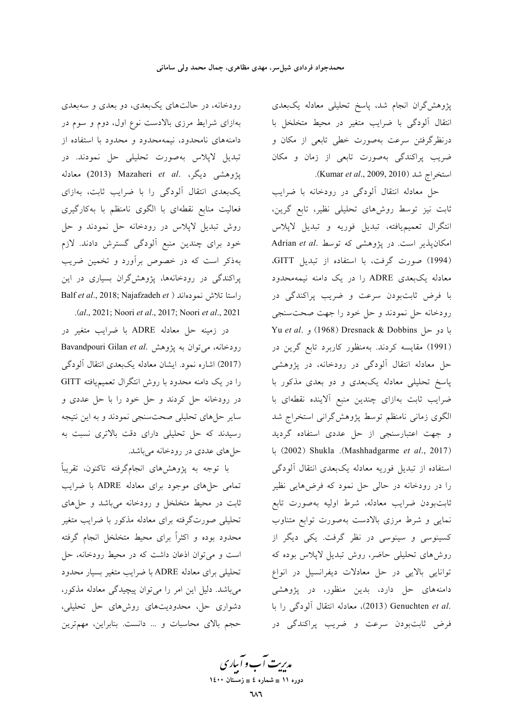پژوهش گران انجام شد، پاسخ تحلیلی معادله یکبعدی انتقال آلودگی با ضرایب متغیر در محیط متخلخل با درنظرگرفتن سرعت بهصورت خطی تابعی از مکان و ضریب پراکندگی بهصورت تابعی از زمان و مکان استخراج شد (Kumar et al., 2009, 2010).

حل معادله انتقال ألودگی در رودخانه با ضرایب ثابت نیز توسط روشهای تحلیلی نظیر، تابع گرین، انتگرال تعميميافته، تبديل فوريه و تبديل لاپلاس Adrian et al. امکان پذیر است. در پژوهشی که توسط (1994) صورت گرفت، با استفاده از تبدیل GITT، معادله یک بعدی ADRE را در یک دامنه نیمهمحدود با فرض ثابتبودن سرعت و ضريب پراكندگى در رودخانه حل نمودند و حل خود را جهت صحت سنجي Yu et al. و حل Dresnack & Dobbins) و Yu et al. (1991) مقایسه کردند. بهمنظور کاربرد تابع گرین در حل معادله انتقال آلودگی در رودخانه، در پژوهشی پاسخ تحلیلی معادله یک بعدی و دو بعدی مذکور با ضرايب ثابت بهازاي چندين منبع آلاينده نقطهاي با الگوی زمانی نامنظم توسط پژوهشگرانی استخراج شد و جهت اعتبارسنجي از حل عددي استفاده گرديد (2002) Shukla .(Mashhadgarme et al., 2017) استفاده از تبدیل فوریه معادله یکبعدی انتقال آلودگی را در رودخانه در حالی حل نمود که فرضهایی نظیر ثابت بودن ضرايب معادله، شرط اوليه بهصورت تابع نمایی و شرط مرزی بالادست بهصورت توابع متناوب کسینوسی و سینوسی در نظر گرفت. یکی دیگر از روشهای تحلیلی حاضر، روش تبدیل لاپلاس بوده که توانایی بالایی در حل معادلات دیفرانسیل در انواع دامنههای حل دارد، بدین منظور، در پژوهشی .(2013) Genuchten et al (2013)، معادله انتقال آلودگی را با فرض ثابتبودن سرعت و ضريب پراكندگي در

رودخانه، در حالتهای یکبعدی، دو بعدی و سهبعدی بهازای شرایط مرزی بالادست نوع اول، دوم و سوم در دامنههای نامحدود، نیمهمحدود و محدود با استفاده از تبدیل لاپلاس بهصورت تحلیلی حل نمودند. در يژوهشي ديگر، .Mazaheri *et al* (2013) معادله یک بعدی انتقال آلودگی را با ضرایب ثابت، بهازای فعالیت منابع نقطهای با الگوی نامنظم با بهکارگیری روش تبدیل لاپلاس در رودخانه حل نمودند و حل خود برای چندین منبع آلودگی گسترش دادند. لازم بهذکر است که در خصوص برآورد و تخمین ضریب پراکندگی در رودخانهها، پژوهشگران بسیاری در این Balf et al., 2018; Najafzadeh et ) راستا تلاش نمودهاند .(al., 2021; Noori et al., 2017; Noori et al., 2021

در زمينه حل معادله ADRE با ضرايب متغير در Bavandpouri Gilan et al. رودخانه، میتوان به پژوهش . (2017) اشاره نمود. ایشان معادله یکبعدی انتقال آلودگی را در یک دامنه محدود با روش انتگرال تعمیمیافته GITT در رودخانه حل کردند و حل خود را با حل عددی و سایر حلهای تحلیلی صحت سنجی نمودند و به این نتیجه رسیدند که حل تحلیلی دارای دقت بالاتری نسبت به حلهای عددی در رودخانه میباشد.

با توجه به پژوهشهای انجامگرفته تاکنون، تقریباً تمامی حلهای موجود برای معادله ADRE با ضرایب ثابت در محیط متخلخل و رودخانه میباشد و حلهای تحلیلی صورتگرفته برای معادله مذکور با ضرایب متغیر محدود بوده و اکثراً برای محیط متخلخل انجام گرفته است و می توان اذعان داشت که در محیط رودخانه، حل تحلیلی برای معادله ADRE با ضرایب متغیر بسیار محدود می باشد. دلیل این امر را می توان پیچیدگی معادله مذکور، دشواری حل، محدودیتهای روشهای حل تحلیلی، حجم بالای محاسبات و ... دانست. بنابراین، مهمترین

مدیریت آب و آباری دوره ۱۱ ∎ شماره ٤ ∎ زمستان ۱٤۰۰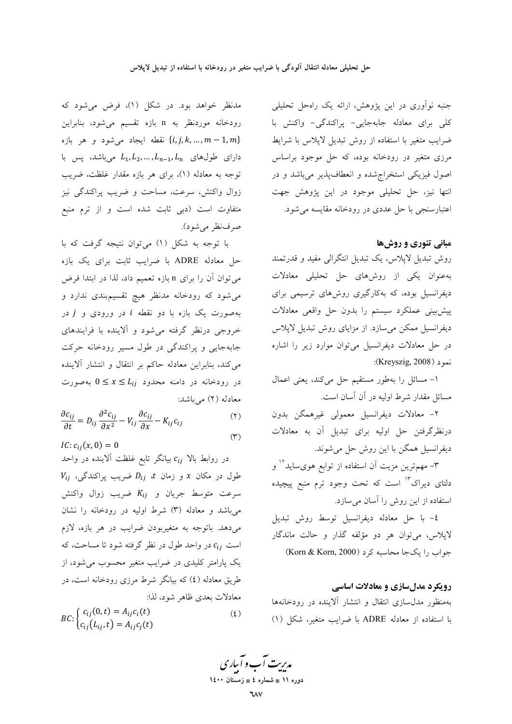مدنظر خواهد بود. در شکل (۱)، فرض می شود که رودخانه موردنظر به n بازه تقسیم می شود، بنابراین نقطه ايجاد مي شود و هر بازه  $\{i,j,k,...,m-1,m\}$ دارای طولهای  $L_{n-1}, L_{n-1}, L_{n-1}$  می باشد، پس با توجه به معادله (۱)، برای هر بازه مقدار غلظت، ضریب زوال واكنش، سرعت، مساحت و ضريب پراكندگي نيز متفاوت است (دبی ثابت شده است و از ترم منبع صرفنظر مي شود).

با توجه به شکل (۱) میتوان نتیجه گرفت که با حل معادله ADRE با ضرایب ثابت برای یک بازه می توان آن را برای n بازه تعمیم داد، لذا در ابتدا فرض می شود که رودخانه مدنظر هیچ تقسیمبندی ندارد و بهصورت یک بازه با دو نقطه i در ورودی و j در خروجی درنظر گرفته می شود و آلاینده با فرایندهای جابهجایی و پراکندگی در طول مسیر رودخانه حرکت می کند، بنابراین معادله حاکم بر انتقال و انتشار آلاینده در رودخانه در دامنه محدود  $L_{ij}$   $1 \le x \le b$  بهصورت معادله (٢) مي باشد:

$$
\frac{\partial c_{ij}}{\partial t} = D_{ij} \frac{\partial^2 c_{ij}}{\partial x^2} - V_{ij} \frac{\partial c_{ij}}{\partial x} - K_{ij} c_{ij}
$$
\n<sup>(\*)</sup>

$$
IC: c_{ij}(x,0) = 0
$$

در روابط بالا  $c_{ij}$  بیانگر تابع غلظت آلاینده در واحد  $V_{ij}$  طول در مکان x و زمان t،  $D_{ij}$  ضریب پراکندگی، سرعت متوسط جريان و  $K_{ij}$  ضريب زوال واكنش می باشد و معادله (۳) شرط اولیه در رودخانه را نشان میدهد. باتوجه به متغیربودن ضرایب در هر بازه، لازم است  $c_{ij}$  در واحد طول در نظر گرفته شود تا مساحت، که یک پارامتر کلیدی در ضرایب متغیر محسوب می شود، از طریق معادله (٤) که بیانگر شرط مرزی رودخانه است، در معادلات بعدي ظاهر شود، لذا:

 $BC:$  $\begin{cases} c_{ij}(0, t) = A_{ij}c_i(t) \\ c_{ij}(L_{ij}, t) = A_{ij}c_j(t) \end{cases}$  $(\mathfrak{t})$ 

جنبه نوآوری در این پژوهش، ارائه یک راهحل تحلیلی کلی برای معادله جابهجایی- پراکندگی- واکنش با ضرایب متغیر با استفاده از روش تبدیل لاپلاس با شرایط مرزی متغیر در رودخانه بوده، که حل موجود براساس اصول فیزیکی استخراج شده و انعطاف پذیر می باشد و در انتها نیز، حل تحلیلی موجود در این پژوهش جهت اعتبارسنجی با حل عددی در رودخانه مقایسه می شود.

### مبانی تئوری و روشها

روش تبدیل لاپلاس، یک تبدیل انتگرالی مفید و قدرتمند به عنوان یکی از روشهای حل تحلیلی معادلات دیفرانسیل بوده، که بهکارگیری روشهای ترسیمی برای پیشبینی عملکرد سیستم را بدون حل واقعی معادلات دیفرانسیل ممکن میسازد. از مزایای روش تبدیل لاپلاس در حل معادلات دیفرانسیل میتوان موارد زیر را اشاره نمود (Kreyszig, 2008):

١- مسائل را بهطور مستقيم حل مي كند، يعني اعمال مسائل مقدار شرط اولیه در آن آسان است.

٢– معادلات ديفرانسيل معمولي غيرهمگن بدون درنظرگرفتن حل اولیه برای تبدیل آن به معادلات ديفرانسيل همگن با اين روش حل مي شوند.

۳- مهمترین مزیت آن استفاده از توابع هویساید<sup>۱۲</sup> و دلتای دیراک<sup>۱۳</sup> است که تحت وجود ترم منبع پیچیده استفاده از این روش را آسان میسازد.

٤- با حل معادله ديفرانسيل توسط روش تبديل لاپلاس، می توان هر دو مؤلفه گذار و حالت ماندگار جواب را يك جا محاسبه كرد (Korn & Korn, 2000)

### رویکرد مدلسازی و معادلات اساسی

بهمنظور مدل سازى انتقال و انتشار آلاينده در رودخانهها با استفاده از معادله ADRE با ضرایب متغیر، شکل (۱)

مدبریت آب و آباری

دوره ۱۱ ∎ شماره ٤ ∎ زمستان ۱٤۰۰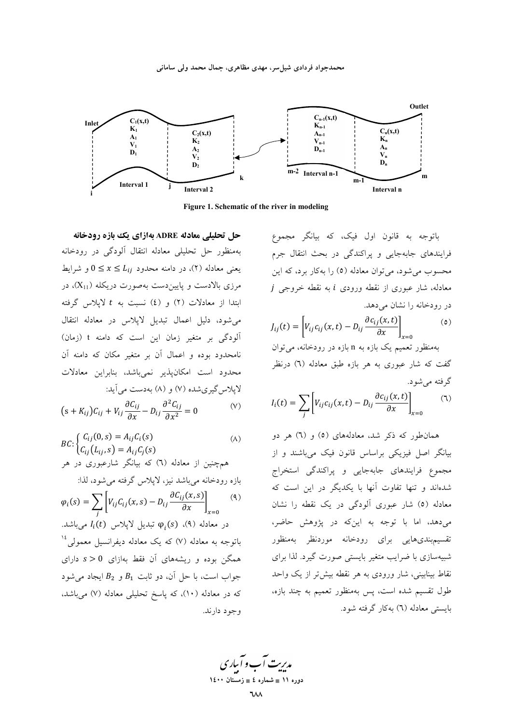

Figure 1. Schematic of the river in modeling

حل تحلیلی معادله ADRE بهازای یک بازه رودخانه بهمنظور حل تحليلي معادله انتقال ألودگي در رودخانه یعنی معادله (۲)، در دامنه محدود  $L_{ij} \leq x \leq 0$  و شرایط مرزي بالادست و پايين دست بهصورت دريكله (X<sub>11</sub>)، در ابتدا از معادلات (٢) و (٤) نسبت به t لاپلاس گرفته می شود، دلیل اعمال تبدیل لاپلاس در معادله انتقال آلودگی بر متغیر زمان این است که دامنه t (زمان) نامحدود بوده و اعمال آن بر متغیر مکان که دامنه آن محدود است امکانپذیر نمیباشد، بنابراین معادلات لايلاس گيري شده (۷) و (۸) بهدست مي آيد:

$$
(s + K_{ij})C_{ij} + V_{ij}\frac{\partial C_{ij}}{\partial x} - D_{ij}\frac{\partial^2 C_{ij}}{\partial x^2} = 0
$$
 (V)

$$
BC: \begin{cases} C_{ij}(0,s) = A_{ij}C_i(s) \\ C_{ij}(L_{ij},s) = A_{ij}C_j(s) \end{cases} \tag{A}
$$

همچنین از معادله (٦) که بیانگر شارعبوری در هر بازه رودخانه مرباشد نيز، لايلاس گرفته مرشود، لذا:

$$
\varphi_i(s) = \sum_j \left[ V_{ij} C_{ij}(x, s) - D_{ij} \frac{\partial C_{ij}(x, s)}{\partial x} \right]_{x=0} \tag{4}
$$
\n
$$
\varphi_i(t) = \sum_j \left[ V_{ij} C_{ij}(x, s) - D_{ij} \frac{\partial C_{ij}(x, s)}{\partial x} \right]_{x=0}
$$
\n2.11. 
$$
\varphi_i(s) \quad \text{(4)}
$$
\n2.12. 
$$
\varphi_i(s) \quad \text{(5)}
$$
\n3.13. 
$$
\varphi_i(s) = \sum_{j=1}^{n} \varphi_j(s) \quad \text{(6)}
$$
\n4.13. 
$$
\varphi_i(s) = \sum_{j=1}^{n} \varphi_j(s) \quad \text{(7)}
$$
\n5.14. 
$$
\varphi_i(s) = \sum_{j=1}^{n} \varphi_j(s) \quad \text{(8)}
$$
\n6.15. 
$$
\varphi_i(s) = \sum_{j=1}^{n} \varphi_j(s) \quad \text{(9)}
$$
\n7. 
$$
\varphi_i(s) = \sum_{j=1}^{n} \varphi_j(s) \quad \text{(9)}
$$
\n8. 
$$
\varphi_j(s) = \sum_{j=1}^{n} \varphi_j(s) \quad \text{(10)}
$$
\n9. 
$$
\varphi_j(s) = \sum_{j=1}^{n} \varphi_j(s) \quad \text{(11)}
$$
\n10.

باتوجه به قانون اول فیک، که بیانگر مجموع فرایندهای جابهجایی و پراکندگی در بحث انتقال جرم محسوب می شود، می توان معادله (٥) را به کار برد، که این  $j$  معادله، شار عبوری از نقطه ورودی  $i$  به نقطه خروجی j در رودخانه را نشان می دهد.

$$
J_{ij}(t) = \left[ V_{ij}c_{ij}(x,t) - D_{ij}\frac{\partial c_{ij}(x,t)}{\partial x} \right]_{x=0}
$$
 (6)

بهمنظور تعمیم یک بازه به n بازه در رودخانه، می توان گفت که شار عبوری به هر بازه طبق معادله (٦) درنظر گرفته مے شود.

$$
I_i(t) = \sum_j \left[ V_{ij} c_{ij}(x, t) - D_{ij} \frac{\partial c_{ij}(x, t)}{\partial x} \right]_{x=0} \tag{1}
$$

همانطور که ذکر شد، معادلههای (٥) و (٦) هر دو بیانگر اصل فیزیکی براساس قانون فیک میباشند و از .<br>مجموع فرایندهای جابهجایی و پراکندگی استخراج شدهاند و تنها تفاوت آنها با یکدیگر در این است که معادله (٥) شار عبوری آلودگی در یک نقطه را نشان می دهد، اما با توجه به این که در پژوهش حاضر، تقسیمبندیهایی برای رودخانه موردنظر بهمنظور شبیهسازی با ضرایب متغیر بایستی صورت گیرد. لذا برای نقاط بینابینی، شار ورودی به هر نقطه بیش تر از یک واحد طول تقسیم شده است، پس بهمنظور تعمیم به چند بازه، بايستى معادله (٦) بهكار گرفته شود.

مدریت آب و آباری

ده.ره ۱۱ ∎ شماره ٤ ∎ زمستان ۱٤۰۰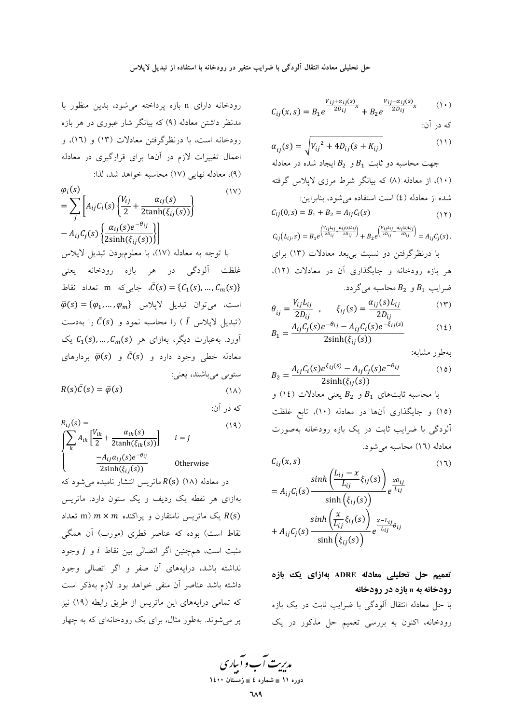با

$$
\varphi_{i}(s) \qquad (1V)
$$
\n
$$
= \sum_{j} \left[ A_{ij} C_{i}(s) \left\{ \frac{V_{ij}}{2} + \frac{\alpha_{ij}(s)}{2 \tanh(\xi_{ij}(s))} \right\} \right] \qquad C_{ij}
$$
\n
$$
- A_{ij} C_{j}(s) \left\{ \frac{\alpha_{ij}(s)e^{-\theta_{ij}}}{2 \sinh(\xi_{ij}(s))} \right\} \qquad C_{ij}
$$
\n
$$
\omega \leq \sqrt{2} \left\{ \frac{\alpha_{ij}(s)e^{-\theta_{ij}}}{2 \sinh(\xi_{ij}(s))} \right\} \qquad C_{ij}
$$
\n
$$
\omega \leq \sqrt{2} \left\{ \frac{\alpha_{ij}(s)e^{-\theta_{ij}}}{2 \sinh(\xi_{ij}(s))} \right\} \qquad C_{ij}
$$
\n
$$
\omega \leq \sqrt{2} \left\{ \frac{\alpha_{ij}(s)e^{-\theta_{ij}}}{2 \sinh(\xi_{ij}(s))} \right\} \qquad C_{ij}
$$
\n
$$
\varphi(s) = \left\{ \frac{\alpha_{ij}(s)e^{-\theta_{ij}}}{2 \sinh(\xi_{ij}(s))} \right\} \qquad C_{ij}
$$
\n
$$
\varphi(s) = \left\{ \frac{\alpha_{ij}(s)e^{-\theta_{ij}}}{2 \sinh(\xi_{ij}(s))} \right\} \qquad C_{ij}
$$
\n
$$
\varphi(s) = \frac{\alpha_{ij}(s)e^{-\theta_{ij}}}{2 \sinh(\xi_{ij}(s))} \qquad C_{ij}
$$
\n
$$
\varphi(s) = \frac{\alpha_{ij}(s)e^{-\theta_{ij}}}{2 \sinh(\xi_{ij}(s))} \qquad C_{ij}
$$
\n
$$
\varphi(s) = \frac{\alpha_{ij}(s)e^{-\theta_{ij}}}{2 \sinh(\xi_{ij}(s))} \qquad C_{ij}
$$
\n
$$
\varphi(s) = \frac{\alpha_{ij}(s)e^{-\theta_{ij}}}{2 \sinh(\xi_{ij}(s))} \qquad C_{ij}
$$
\n
$$
\varphi(s) = \frac{\alpha_{ij}(s)e^{-\theta_{ij}}}{2 \sinh(\xi_{ij}(s))} \qquad C_{ij}
$$
\n
$$
\varphi(s) = \frac{\alpha_{ij}(s)e^{-\theta_{ij}}}{2 \sinh(\xi_{ij}(s))} \qquad C_{ij}
$$
\n
$$
\omega \le
$$

$$
R(s)\bar{C}(s) = \bar{\varphi}(s)
$$
 (1)

$$
R_{ij}(s) = \n\begin{cases}\n\sum_{k} A_{ik} \left[ \frac{V_{ik}}{2} + \frac{\alpha_{ik}(s)}{2 \tanh(\xi_{ik}(s))} \right] & i = j \\
\sum_{k} \frac{-A_{ij}\alpha_{ij}(s)e^{-\theta_{ij}}}{2 \sinh(\xi_{ij}(s))} & \text{Otherwise} \\
\text{etc.} \quad \text{otherwise} \\
\text{etc.} \quad \text{otherwise} \\
\text{otherwise} \\
\text{other.} \quad \text{otherwise} \\
\text{other.} \quad \text{otherwise} \\
\text{other.} \quad \text{other.} \quad \text{other.} \quad \text{other.} \quad \text{other.} \quad \text{other.} \quad \text{other.} \quad \text{other.} \quad \text{other.} \quad \text{other.} \quad \text{other.} \quad \text{other.} \quad \text{other.} \quad \text{other.} \quad \text{other.} \quad \text{other.} \quad \text{other.} \quad \text{other.} \quad \text{other.} \quad \text{other.} \quad \text{other.} \quad \text{other.} \quad \text{other.} \quad \text{other.} \quad \text{other.} \quad \text{other.} \quad \text{other.} \quad \text{other.} \quad \text{other.} \quad \text{other.} \quad \text{other.} \quad \text{other.} \quad \text{other.} \quad \text{other.} \quad \text{other.} \quad \text{other.} \quad \text{other.} \quad \text{other.} \quad \text{other.} \quad \text{other.} \quad \text{other.} \quad \text{other.} \quad \text{other.} \quad \text{other.} \quad \text{other.} \quad \text{other.} \quad \text{other.} \quad \text{other.} \quad \text{other.} \quad \text{other.} \quad \text{other.} \quad \text{other.} \quad \text{other.} \quad \text{other.} \quad \text{other.} \quad \text{other.} \quad \text{other.} \quad \text{other.} \quad \text{other.} \quad \text{other.} \quad \text{other.} \quad \text{other.} \quad \text{other.} \quad \text{other.} \quad \text{other.} \quad \text{other.} \quad \text{other.} \quad \text{other.} \quad \text{other.} \quad \text{other.} \quad \text{other.} \quad \text{other.} \quad
$$

داشته باشد عناصر آن منفى خواهد بود. لازم بهذكر است که تمامی درایههای این ماتریس از طریق رابطه (۱۹) نیز پر میشوند. بهطور مثال، برای یک رودخانهای که به چهار

$$
C_{ij}(x,s) = B_1 e^{\frac{V_{ij} + \alpha_{ij}(s)}{2D_{ij}}} + B_2 e^{\frac{V_{ij} - \alpha_{ij}(s)}{2D_{ij}}}x \qquad (\wedge \wedge)
$$

$$
\alpha_{ij}(s) = \sqrt{V_{ij}^2 + 4D_{ij}(s + K_{ij})}
$$
\n(11)

$$
C_{ij}(0,s) = B_1 + B_2 = A_{ij}C_i(s)
$$
 (17)

$$
C_{ij}(L_{ij}, s) = B_1 e^{\left(\frac{V_{ij}L_{ij}}{2D_{ij}}\frac{a_{ij}(s)L_{ij}}{2D_{ij}}\right)} + B_2 e^{\left(\frac{V_{ij}L_{ij}}{2D_{ij}}\frac{a_{ij}(s)L_{ij}}{2D_{ij}}\right)} = A_{ij}C_j(s).
$$

هر بازه رودخانه و جایگذاری آن در معادلات (۱۲)،  
ضرایب 
$$
B_1
$$
 و 2 محاسبه میگردد.

$$
\theta_{ij} = \frac{V_{ij}L_{ij}}{2D_{ij}} , \qquad \xi_{ij}(s) = \frac{\alpha_{ij}(s)L_{ij}}{2D_{ij}} \tag{17}
$$

$$
B_1 = \frac{A_{ij}C_j(s)e^{-\theta_{ij}} - A_{ij}C_i(s)e^{-\xi_{ij}(s)}}{2\sinh(\xi_{ij}(s))}
$$
 (12)

بەطور مشابە:

$$
B_2 = \frac{A_{ij}C_i(s)e^{\xi_{ij}(s)} - A_{ij}C_j(s)e^{-\theta_{ij}}}{2\sinh(\xi_{ij}(s))}
$$
 (10)

$$
C_{ij}(x,s) \tag{11}
$$

$$
= A_{ij}C_i(s) \frac{\sinh\left(\frac{L_{ij} - x}{L_{ij}}\xi_{ij}(s)\right)}{\sinh\left(\xi_{ij}(s)\right)} e^{\frac{x\theta_{ij}}{L_{ij}}} + A_{ij}C_j(s) \frac{\sinh\left(\frac{x}{L_{ij}}\xi_{ij}(s)\right)}{\sinh\left(\xi_{ij}(s)\right)} e^{\frac{x-L_{ij}}{L_{ij}}\theta_{ij}}
$$

# تعمیم حل تحلیلی معادله ADRE بهازای یک بازه رودخانه به n بازه در رودخانه

با حل معادله انتقال آلودگی با ضرایب ثابت در یک بازه رودخانه، اکنون به بررسی تعمیم حل مذکور در یک

مد*ی*ریت آب و آباری سمه سه معهد معهد<br>دوره ۱۱ ∎ شماره ٤ ∎ زمستان ۱٤۰۰

٦٨٩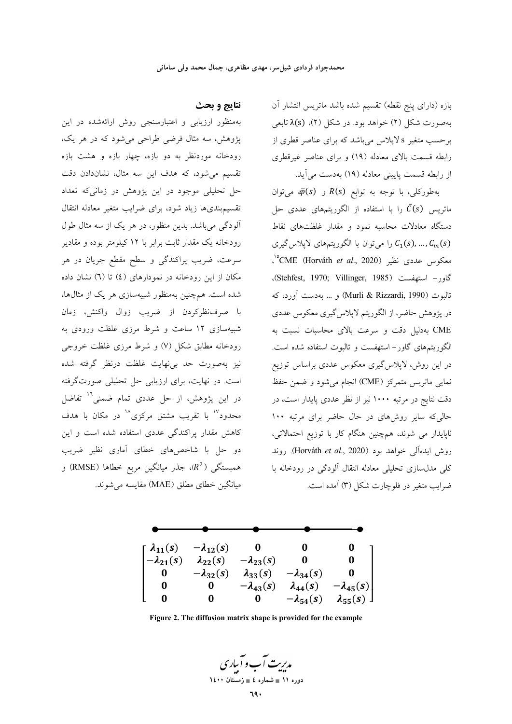بازه (دارای پنج نقطه) تقسیم شده باشد ماتریس انتشار آن بهصورت شکل (۲) خواهد بود. در شکل (۲)، (۶)کتابعی برحسب متغیر s لایلاس میباشد که برای عناصر قطری از رابطه قسمت بالای معادله (١٩) و برای عناصر غیرقطری از رابطه قسمت پایینی معادله (۱۹) بهدست می آید.

بهطوركلي، با توجه به توابع R(s) و  $\bar{\varphi}(s)$ ، میتوان ماتریس  $\bar{C}(s)$  را با استفاده از الگوریتمهای عددی حل دستگاه معادلات محاسبه نمود و مقدار غلظتهای نقاط را میتوان با الگوریتمهای لاپلاس گیری  $C_1(s)$ ...,  $C_m(s)$ معكوس عددي نظير (CME (Horváth *et al.*, 2020)°، كاور- استهفست (Stehfest, 1970; Villinger, 1985). تالبوت (Murli & Rizzardi, 1990) و … بهدست آورد، كه در پژوهش حاضر، از الگوریتم لاپلاس گیری معکوس عددی CME بهدلیل دقت و سرعت بالای محاسبات نسبت به الگوریتمهای گاور-استهفست و تالبوت استفاده شده است. در این روش، لایلاس گیری معکوس عددی براساس توزیع نمایی ماتریس متمرکز (CME) انجام می شود و ضمن حفظ دقت نتایج در مرتبه ۱۰۰۰ نیز از نظر عددی پایدار است، در حالی که سایر روشهای در حال حاضر برای مرتبه ۱۰۰ ناپایدار می شوند، همچنین هنگام کار با توزیع احتمالاتی، روش ايدهآلي خواهد بود (Horváth et al., 2020). روند کلی مدلسازی تحلیلی معادله انتقال آلودگی در رودخانه با ضرایب متغیر در فلوچارت شکل (۳) آمده است.

# نتايج و بحث

بهمنظور ارزیابی و اعتبارسنجی روش ارائهشده در این پژوهش، سه مثال فرضی طراحی میشود که در هر یک، رودخانه موردنظر به دو بازه، چهار بازه و هشت بازه تقسیم می شود، که هدف این سه مثال، نشاندادن دقت حل تحلیلی موجود در این پژوهش در زمانیکه تعداد تقسیم بندیها زیاد شود، برای ضرایب متغیر معادله انتقال آلودگی میباشد. بدین منظور، در هر یک از سه مثال طول رودخانه یک مقدار ثابت برابر با ۱۲ کیلومتر بوده و مقادیر سرعت، ضریب پراکندگی و سطح مقطع جریان در هر مکان از این رودخانه در نمودارهای (٤) تا (٦) نشان داده شده است. همچنین بهمنظور شبیهسازی هر یک از مثالها، با صرفنظركردن از ضريب زوال واكنش، زمان شبیهسازی ۱۲ ساعت و شرط مرزی غلظت ورودی به رودخانه مطابق شکل (۷) و شرط مرزی غلظت خروجی نیز بهصورت حد بی&ایت غلظت درنظر گرفته شده است. در نهایت، برای ارزیابی حل تحلیلی صورتگرفته در این پژوهش، از حل عددی تمام ضمنی<sup>۱٬</sup> تفاضل محدود<sup>۱۷</sup> با تقریب مشتق مرکزی<sup>۱۸</sup> در مکان با هدف کاهش مقدار پراکندگی عددی استفاده شده است و این دو حل با شاخصهای خطای آماری نظیر ضریب همبستگی (R2)، جذر میانگین مربع خطاها (RMSE) و میانگین خطای مطلق (MAE) مقایسه می شوند.



Figure 2. The diffusion matrix shape is provided for the example

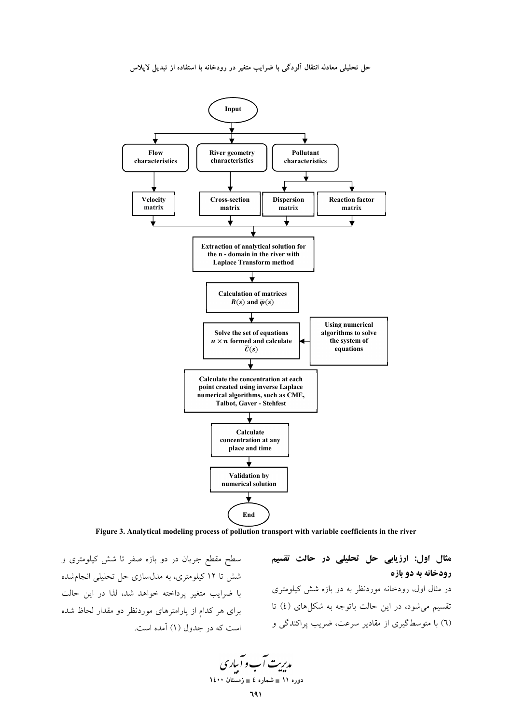

**Figure 3. Analytical modeling process of pollution transport with variable coefficients in the river** 

سطح مقطع جریان در دو بازه صفر تا شش کیلومتری و شش تا ۱۲ کیلومتری، به مدلسازی حل تحلیلی انجامشده با ضرایب متغیر پرداخته خواهد شد، لذا در این حالت برای هر کدام از پارامترهای موردنظر دو مقدار لحاظ شده است که در جدول (۱) آمده است.

مثال اول: ارزیابی حل تحلیلی در حالت تقسیم **رودخانه به دو بازه** در مثال اول، رودخانه موردنظر به دو بازه شش کیلومتری نقسیم میشود، در این حالت باتوجه به شکلهای (٤) تا (٦) با متوسطگیری از مقادیر سرعت، ضریب پراکندگی و

مدیریت آب و آباری **11 × 10 − شماره ٤ = زمستان ۱٤۰۰**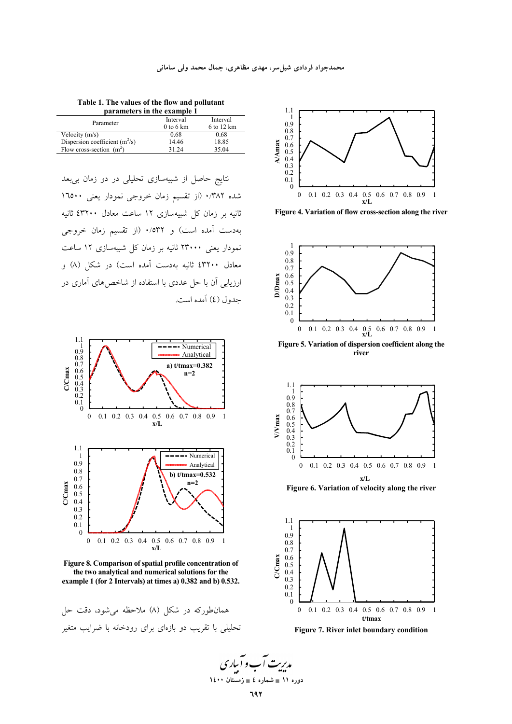**Table 1. The values of the flow and pollutant parameters in the example 1** 

| Parameter                        | Interval    | Interval   |  |  |  |
|----------------------------------|-------------|------------|--|--|--|
|                                  | $0$ to 6 km | 6 to 12 km |  |  |  |
| Velocity $(m/s)$                 | 0.68        | 0.68       |  |  |  |
| Dispersion coefficient $(m^2/s)$ | 14.46       | 18.85      |  |  |  |
| Flow cross-section $(m^2)$       | 31 24       | 35.04      |  |  |  |
|                                  |             |            |  |  |  |

نتایج حاصل از شبیهسازی تحلیلی در دو زمان ب<u>ی</u>بعد شده ۰/۳۸۲ (از تقسیم زمان خروجی نمودار یعنی ۱٦٥۰۰ نانیه بر زمان کل شبیهسازی ۱۲ ساعت معادل ۴۳۲۰۰ ثانیه بهدست آمده است) و ۰/٥۳۲ (از تقسیم زمان خروجی نمودار یعنی ۲۳۰۰۰ ثانیه بر زمان کل شبیهسازی ۱۲ ساعت معادل ٤٣٢٠٠ ثانيه بهدست أمده است) در شكل (٨) و ارزیابی آن با حل عددی با استفاده از شاخصهای آماری در جدول (٤) آمده است.



**Figure 8. Comparison of spatial profile concentration of the two analytical and numerical solutions for the example 1 (for 2 Intervals) at times a) 0.382 and b) 0.532.** 

همان طورکه در شکل (۸) ملاحظه می شود، دقت حل تحلیلی با تقریب دو بازهای برای رودخانه با ضرایب متغیر



 **Figure 4. Variation of flow cross-section along the river**



**Figure 5. Variation of dispersion coefficient along the river**



 **Figure 6. Variation of velocity along the river**



**Figure 7. River inlet boundary condition**

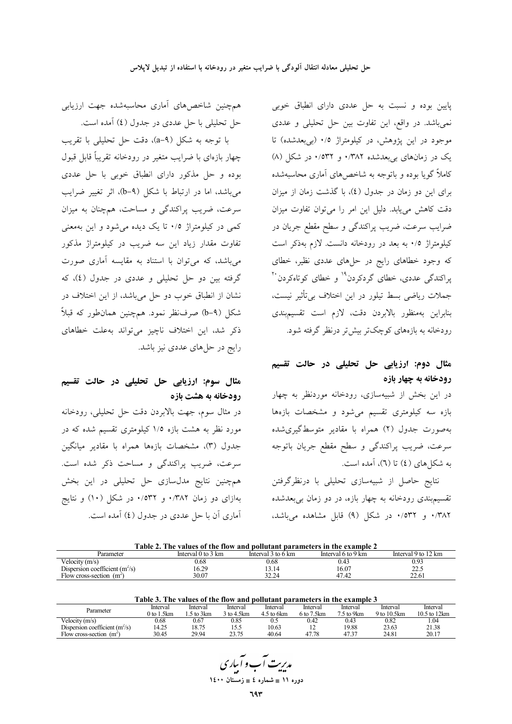پایین بوده و نسبت به حل عددی دارای انطباق خوبی نمیباشد. در واقع، این تفاوت بین حل تحلیلی و عددی موجود در این پژوهش، در کیلومتراژ ۰/۵ (بی بعدشده) تا یک در زمانهای بیبعدشده ۰/۳۸۲ و ۰/۵۳۲ در شکل (۸) کاملاً گویا بوده و باتوجه به شاخصهای آماری محاسبهشده برای این دو زمان در جدول (٤)، با گذشت زمان از میزان دقت کاهش می یابد. دلیل این امر را می توان تفاوت میزان ضرایب سرعت، ضریب پراکندگی و سطح مقطع جریان در کیلومتراژ ۰/۵ به بعد در رودخانه دانست. لازم بهذکر است که وجود خطاهای رایج در حلهای عددی نظیر، خطای یراکندگی عددی، خطای گردکردن<sup>۱۹</sup> و خطای کوتاهکردن<sup>۲۰</sup> جملات ریاضی بسط تیلور در این اختلاف بی تأثیر نیست، بنابراين بهمنظور بالابردن دقت، لازم است تقسيمبندي رودخانه به بازههای کوچکتر بیش تر درنظر گرفته شود.

## مثال دوم: ارزیابی حل تحلیلی در حالت تقسیم رودخانه به چهار بازه

در این بخش از شبیهسازی، رودخانه موردنظر به چهار بازه سه کیلومتری تقسیم میشود و مشخصات بازهها بهصورت جدول (۲) همراه با مقادیر متوسطگیریشده سرعت، ضریب پراکندگی و سطح مقطع جریان باتوجه به شکل های (٤) تا (٦)، آمده است.

نتايج حاصل از شبيهسازي تحليلي با درنظرگرفتن تقسیم بندی رودخانه به چهار بازه، در دو زمان بی بعدشده ۰/۳۸۲ و ۰/۳۵۲ در شکل (۹) قابل مشاهده میباشد،

|  | همچنین شاخصهای آماری محاسبهشده جهت ارزیابی |  |  |
|--|--------------------------------------------|--|--|
|  | حل تحلیلی با حل عددی در جدول (٤) آمده است. |  |  |

با توجه به شكل (A-۹)، دقت حل تحليلي با تقريب چهار بازهای با ضرایب متغیر در رودخانه تقریباً قابل قبول بوده و حل مذکور دارای انطباق خوبی با حل عددی می باشد، اما در ارتباط با شکل (b-۹)، اثر تغییر ضرایب سرعت، ضریب پراکندگی و مساحت، همچنان به میزان کمی در کیلومتراژ ۰/۵ تا یک دیده میشود و این بهمعنی تفاوت مقدار زیاد این سه ضریب در کیلومتراژ مذکور میباشد، که میتوان با استناد به مقایسه آماری صورت گرفته بین دو حل تحلیلی و عددی در جدول (٤)، که نشان از انطباق خوب دو حل میباشد، از این اختلاف در شکل (4-b) صرفنظر نمود. همچنین همانطور که قبلاً ذكر شد، اين اختلاف ناچيز مي تواند به علت خطاهاى رایج در حلهای عددی نیز باشد.

### مثال سوم: ارزیابی حل تحلیلی در حالت تقسیم رودخانه به هشت بازه

در مثال سوم، جهت بالابردن دقت حل تحليلي، رودخانه مورد نظر به هشت بازه ۱/۵ کیلومتری تقسیم شده که در جدول (٣)، مشخصات بازهها همراه با مقادير ميانگين سرعت، ضریب پراکندگی و مساحت ذکر شده است. همچنین نتایج مدلسازی حل تحلیلی در این بخش بهازای دو زمان ۰/۳۸۲ و ۰/۵۳۲ در شکل (۱۰) و نتایج آماری آن با حل عددی در جدول (٤) آمده است.

| Table 2. The values of the flow and pollutant parameters in the example 2 |                    |                    |                    |                     |  |  |  |
|---------------------------------------------------------------------------|--------------------|--------------------|--------------------|---------------------|--|--|--|
| Parameter                                                                 | Interval 0 to 3 km | Interval 3 to 6 km | Interval 6 to 9 km | Interval 9 to 12 km |  |  |  |
| Velocity $(m/s)$                                                          | 0.68               | 0.68               | 0.43               | 0.93                |  |  |  |
| Dispersion coefficient $(m^2/s)$                                          | 16.29              | 13.14              | 16.07              | 22.5                |  |  |  |
| Flow cross-section $(m^2)$                                                | 30.07              | 32.24              | 47.42              | 22.61               |  |  |  |

| Table 3. The values of the flow and pollutant parameters in the example 3 |
|---------------------------------------------------------------------------|

| Parameter                         | Interval            | Interval | Interval   | Interval      | Interval   | Interval    | Interval    | Interval     |
|-----------------------------------|---------------------|----------|------------|---------------|------------|-------------|-------------|--------------|
|                                   | .5km<br>$\theta$ to | 5 to 3km | 3 to 4.5km | $4.5$ to 6 km | 6 to 7.5km | $75$ to 9km | 9 to 10.5km | 10.5 to 12km |
| Velocity $(m/s)$                  | 0.68                | 0.67     | 0.85       | U.J           | 0.42       | 0.43        | 0.82        | 1.04         |
| Dispersion coefficient $(m^2/s)$  | 4.25                | 8.75     | 15.5       | 10.63         | -          | 19.88       | 23.63       | 21.38        |
| гч<br>Flow cross-section<br>. (m~ | 30.45               | 29.94    | 2275       | 40.64         | 47.78      | 47.37       | 24.81       | 20.17        |

مدبریت آب و آساری دوره ١١ = شماره ٤ = زمستان ١٤٠٠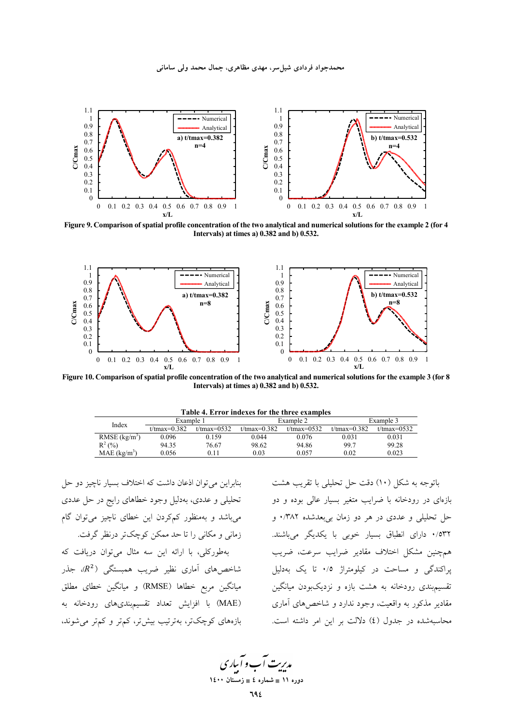

Figure 9. Comparison of spatial profile concentration of the two analytical and numerical solutions for the example 2 (for 4 Intervals) at times a) 0.382 and b) 0.532.



Figure 10. Comparison of spatial profile concentration of the two analytical and numerical solutions for the example 3 (for 8 Intervals) at times a) 0.382 and b) 0.532.

| Example 1<br>Example 2<br>Example 3<br>Index<br>$t$ /tmax=0.382<br>$t$ /tmax=0532<br>$t$ /tmax=0.382<br>$t$ /tmax=0532<br>$t$ /tmax=0.382<br>$t$ /tmax=0532<br>RMSE $(kg/m3)$<br>0.031<br>0.096<br>0.159<br>0.044<br>0.076<br>0.031<br>$R^2$ (%)<br>99.28<br>99.7<br>94.35<br>76.67<br>98.62<br>94.86<br>MAE $(kg/m^3)$<br>0.023<br>0.057<br>0.02<br>0.03<br>0.056<br>0.11 | Lable 4. Error indexes for the three examples |  |  |  |  |  |  |  |  |
|----------------------------------------------------------------------------------------------------------------------------------------------------------------------------------------------------------------------------------------------------------------------------------------------------------------------------------------------------------------------------|-----------------------------------------------|--|--|--|--|--|--|--|--|
|                                                                                                                                                                                                                                                                                                                                                                            |                                               |  |  |  |  |  |  |  |  |
|                                                                                                                                                                                                                                                                                                                                                                            |                                               |  |  |  |  |  |  |  |  |
|                                                                                                                                                                                                                                                                                                                                                                            |                                               |  |  |  |  |  |  |  |  |
|                                                                                                                                                                                                                                                                                                                                                                            |                                               |  |  |  |  |  |  |  |  |
|                                                                                                                                                                                                                                                                                                                                                                            |                                               |  |  |  |  |  |  |  |  |

بنابراین می توان اذعان داشت که اختلاف بسیار ناچیز دو حل تحلیلی و عددی، بهدلیل وجود خطاهای رایج در حل عددی می باشد و بهمنظور کمکردن این خطای ناچیز می توان گام زمانی و مکانی را تا حد ممکن کوچکتر درنظر گرفت. بهطورکلی، با ارائه این سه مثال می توان دریافت که شاخصهای آماری نظیر ضریب همبستگی (R<sup>2</sup>)، جذر میانگین مربع خطاها (RMSE) و میانگین خطای مطلق (MAE) با افزایش تعداد تقسیمبندیهای رودخانه به بازههای کوچکتر، بهترتیب بیشتر، کمتر و کمتر می شوند.

باتوجه به شکل (١٠) دقت حل تحلیلی با تقریب هشت .<br>بازهای در رودخانه با ضرایب متغیر بسیار عال<sub>ی</sub> بوده و دو حل تحلیلی و عددی در هر دو زمان بیبعدشده ۰/۳۸۲ و ۰/۵۳۲ دارای انطباق بسیار خوبی با یکدیگر میباشند. همچنین مشکل اختلاف مقادیر ضرایب سرعت، ضریب یراکندگی و مساحت در کیلومتراژ ۰/۵ تا یک بهدلیل تقسیمبندی رودخانه به هشت بازه و نزدیکبودن میانگین مقادیر مذکور به واقعیت، وجود ندارد و شاخصهای آماری محاسبهشده در جدول (٤) دلالت بر این امر داشته است.

مدیریت آب و آباری دوره ۱۱ ∎ شماره ٤ ∎ زمـً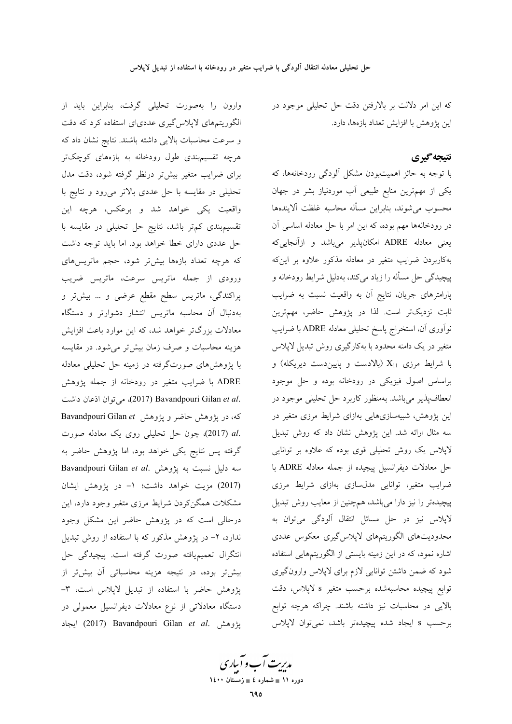که این امر دلالت بر بالارفتن دقت حل تحلیلی موجود در این یژوهش با افزایش تعداد بازهها، دارد.

### نتيجه گيري

با توجه به حائز اهمیتبودن مشکل آلودگی رودخانهها، که یکی از مهمترین منابع طبیعی آب موردنیاز بشر در جهان محسوب مىشوند، بنابراين مسأله محاسبه غلظت آلايندهها در رودخانهها مهم بوده، كه اين امر با حل معادله اساسى آن یعنی معادله ADRE امکانپذیر میباشد و ازآنجاییکه بهکاربردن ضرایب متغیر در معادله مذکور علاوه بر اینکه پیچیدگی حل مسأله را زیاد میکند، بهدلیل شرایط رودخانه و پارامترهای جریان، نتایج آن به واقعیت نسبت به ضرایب ثابت نزدیکتر است. لذا در پژوهش حاضر، مهمترین نواوری آن، استخراج پاسخ تحلیلی معادله ADRE با ضرایب متغیر در یک دامنه محدود با بهکارگیری روش تبدیل لاپلاس با شرایط مرزی  $\rm X_{11}$  (بالادست و پاییندست دیریکله) و براساس اصول فیزیکی در رودخانه بوده و حل موجود انعطاف پذیر می باشد. بهمنظور کاربرد حل تحلیلی موجود در این پژوهش، شبیهسازیهایی بهازای شرایط مرزی متغیر در سه مثال ارائه شد. این پژوهش نشان داد که روش تبدیل لاپلاس یک روش تحلیلی قوی بوده که علاوه بر توانایی حل معادلات ديفرانسيل پيچيده از جمله معادله ADRE با ضرایب متغیر، توانایی مدلسازی بهازای شرایط مرزی پیچیدهتر را نیز دارا میباشد، همچنین از معایب روش تبدیل لاپلاس نیز در حل مسائل انتقال آلودگی میتوان به محدوديتهاى الگوريتمهاى لاپلاس گيرى معكوس عددى اشاره نمود، که در این زمینه بایستی از الگوریتمهایی استفاده شود که ضمن داشتن توانایی لازم برای لاپلاس وارونگیری توابع پیچیده محاسبهشده برحسب متغیر s لاپلاس، دقت بالایی در محاسبات نیز داشته باشند. چراکه هرچه توابع برحسب s ايجاد شده پيچيدهتر باشد، نمي توان لاپلاس

وارون را بهصورت تحلیلی گرفت، بنابراین باید از الگوریتمهای لاپلاس گیری عددیای استفاده کرد که دقت و سرعت محاسبات بالایی داشته باشند. نتایج نشان داد که هرچه تقسیمېندی طول رودخانه به بازههای کوچکتر برای ضرایب متغیر بیشتر درنظر گرفته شود، دقت مدل تحلیلی در مقایسه با حل عددی بالاتر می رود و نتایج با واقعیت یکی خواهد شد و برعکس، هرچه این تقسیمبندی کمتر باشد، نتایج حل تحلیلی در مقایسه با حل عددی دارای خطا خواهد بود. اما باید توجه داشت که هرچه تعداد بازهها بیشتر شود، حجم ماتریسهای ورودی از جمله ماتریس سرعت، ماتریس ضریب پراکندگی، ماتریس سطح مقطع عرضی و … بیشتر و بهدنبال آن محاسبه ماتريس انتشار دشوارتر و دستگاه معادلات بزرگتر خواهد شد، که این موارد باعث افزایش هزینه محاسبات و صرف زمان بیشتر می شود. در مقایسه با پژوهشهای صورتگرفته در زمینه حل تحلیلی معادله ADRE با ضرایب متغیر در رودخانه از جمله پژوهش .2017) Bavandpouri Gilan et al. می توان اذعان داشت که، در پژوهش حاضر و پژوهش Bavandpouri Gilan et .al (2017)، چون حل تحلیلی روی یک معادله صورت گرفته پس نتایج یکی خواهد بود، اما پژوهش حاضر به Bavandpouri Gilan et al. پژوهش Bavandpouri Gilan et al. (2017) مزيت خواهد داشت؛ ١- در پژوهش ايشان مشکلات همگن کردن شرایط مرزی متغیر وجود دارد، این درحالی است که در پژوهش حاضر این مشکل وجود ندارد، ۲- در پژوهش مذکور که با استفاده از روش تبدیل انتگرال تعمیمیافته صورت گرفته است. پیچیدگی حل بیشتر بوده، در نتیجه هزینه محاسباتی آن بیشتر از پژوهش حاضر با استفاده از تبدیل لاپلاس است، ۳-دستگاه معادلاتی از نوع معادلات دیفرانسیل معمولی در پژوهش .2017) Bavandpouri Gilan et al. پیژوهش

مدبریت آب و آباری دوره ۱۱ ∎ شماره ٤ ∎ زمستان ۱٤۰۰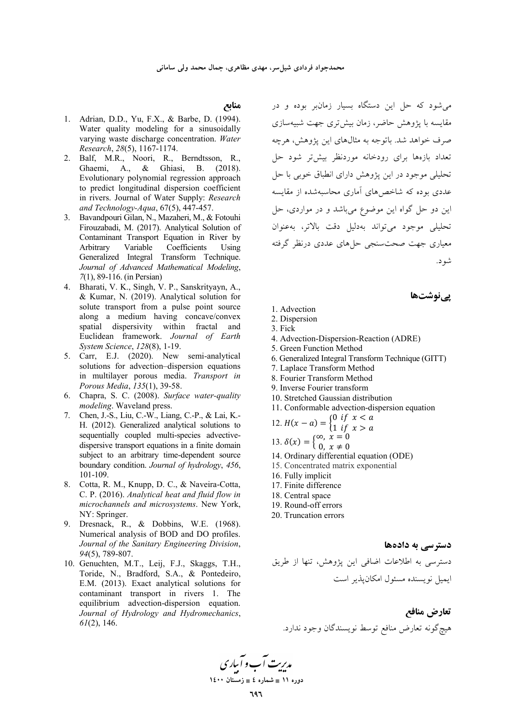#### منابع

- 1. Adrian, D.D., Yu, F.X., & Barbe, D. (1994). Water quality modeling for a sinusoidally varying waste discharge concentration. Water Research, 28(5), 1167-1174.
- 2. Balf, M.R., Noori, R., Berndtsson, R., Ghaemi, A., & Ghiasi, B. (2018). Evolutionary polynomial regression approach to predict longitudinal dispersion coefficient in rivers. Journal of Water Supply: Research and Technology-Aqua, 67(5), 447-457.
- 3. Bavandpouri Gilan, N., Mazaheri, M., & Fotouhi Firouzabadi, M. (2017). Analytical Solution of Contaminant Transport Equation in River by Arbitrary Variable Coefficients Using Generalized Integral Transform Technique. Journal of Advanced Mathematical Modeling, 7(1), 89-116. (in Persian)
- 4. Bharati, V. K., Singh, V. P., Sanskrityayn, A., & Kumar, N. (2019). Analytical solution for solute transport from a pulse point source along a medium having concave/convex spatial dispersivity within fractal and Euclidean framework. Journal of Earth System Science, 128(8), 1-19.
- 5. Carr, E.J. (2020). New semi-analytical solutions for advection-dispersion equations in multilayer porous media. Transport in Porous Media, 135(1), 39-58.
- 6. Chapra, S. C. (2008). Surface water-quality modeling. Waveland press.
- 7. Chen, J.-S., Liu, C.-W., Liang, C.-P., & Lai, K.-H. (2012). Generalized analytical solutions to sequentially coupled multi-species advectivedispersive transport equations in a finite domain subject to an arbitrary time-dependent source boundary condition. Journal of hydrology, 456, 101-109.
- 8. Cotta, R. M., Knupp, D. C., & Naveira-Cotta, C. P. (2016). Analytical heat and fluid flow in microchannels and microsystems. New York, NY: Springer.
- 9. Dresnack, R., & Dobbins, W.E. (1968). Numerical analysis of BOD and DO profiles. Journal of the Sanitary Engineering Division, 94(5), 789-807.
- 10. Genuchten, M.T., Leij, F.J., Skaggs, T.H., Toride, N., Bradford, S.A., & Pontedeiro, E.M. (2013). Exact analytical solutions for contaminant transport in rivers 1. The equilibrium advection-dispersion equation. Journal of Hydrology and Hydromechanics,  $61(2)$ , 146.

می شود که حل این دستگاه بسیار زمانبر بوده و در مقایسه با یژوهش حاضر، زمان بیش تری جهت شبیهسازی صرف خواهد شد. باتوجه به مثالهای این یژوهش، هرچه تعداد بازهها برای رودخانه موردنظر بیشتر شود حل تحليلي موجود در اين پژوهش داراي انطباق خوبي با حل عددی بوده که شاخص های آماری محاسیهشده از مقایسه این دو حل گواه این موضوع میباشد و در مواردی، حل تحليلي موجود مي تواند بهدليل دقت بالاتر، به عنوان معیاری جهت صحت سنجی حلهای عددی درنظر گرفته شو د.

### یےنوشتھا

- 1. Advection
- 2. Dispersion
- 3. Fick
- 4. Advection-Dispersion-Reaction (ADRE)
- 5. Green Function Method
- 6. Generalized Integral Transform Technique (GITT)
- 7. Laplace Transform Method
- 8. Fourier Transform Method
- 9. Inverse Fourier transform
- 10. Stretched Gaussian distribution
- 11. Conformable advection-dispersion equation

12. 
$$
H(x - a) = \begin{cases} 0 & \text{if } x < a \\ 1 & \text{if } x > a \end{cases}
$$

13. 
$$
\delta(x) = \begin{cases} \infty, & x = 0 \\ 0, & x \neq 0 \end{cases}
$$

- 15.  $O(x) = 0$ ,  $x \ne 0$ <br>14. Ordinary differential equation (ODE)
- 15. Concentrated matrix exponential
- 16. Fully implicit
- 17. Finite difference
- 18. Central space
- 19. Round-off errors
- 20. Truncation errors

#### دستر سے به دادهها

دسترسی به اطلاعات اضافی این پژوهش، تنها از طریق ایمیل نویسنده مسئول امکان پذیر است

تعارض منافع هيچگونه تعارض منافع توسط نويسندگان وجود ندارد.

مدریت آب و آباری

دوره ۱۱ ∎ شماره ٤ ∎ زمستان ۱٤۰۰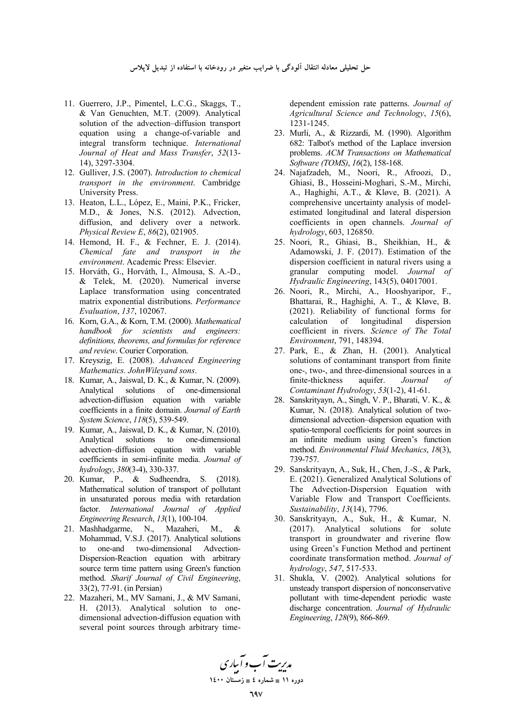- 11. Guerrero, J.P., Pimentel, L.C.G., Skaggs, T., & Van Genuchten, M.T. (2009). Analytical solution of the advection–diffusion transport equation using a change-of-variable and integral transform technique. *International Journal of Heat and Mass Transfer*, *52*(13- 14), 3297-3304.
- 12. Gulliver, J.S. (2007). *Introduction to chemical transport in the environment*. Cambridge University Press.
- 13. Heaton, L.L., López, E., Maini, P.K., Fricker, M.D., & Jones, N.S. (2012). Advection, diffusion, and delivery over a network. *Physical Review E*, *86*(2), 021905.
- 14. Hemond, H. F., & Fechner, E. J. (2014). *Chemical fate and transport in the environment*. Academic Press: Elsevier.
- 15. Horváth, G., Horváth, I., Almousa, S. A.-D., & Telek, M. (2020). Numerical inverse Laplace transformation using concentrated matrix exponential distributions. *Performance Evaluation*, *137*, 102067.
- 16. Korn, G.A., & Korn, T.M. (2000). *Mathematical handbook for scientists and engineers: definitions, theorems, and formulas for reference and review*. Courier Corporation.
- 17. Kreyszig, E. (2008). *Advanced Engineering Mathematics. JohnWileyand sons*.
- 18. Kumar, A., Jaiswal, D. K., & Kumar, N. (2009). Analytical solutions of one-dimensional advection-diffusion equation with variable coefficients in a finite domain. *Journal of Earth System Science*, *118*(5), 539-549.
- 19. Kumar, A., Jaiswal, D. K., & Kumar, N. (2010). Analytical solutions to one-dimensional advection–diffusion equation with variable coefficients in semi-infinite media. *Journal of hydrology*, *380*(3-4), 330-337.
- 20. Kumar, P., & Sudheendra, S. (2018). Mathematical solution of transport of pollutant in unsaturated porous media with retardation factor. *International Journal of Applied Engineering Research*, *13*(1), 100-104.
- 21. Mashhadgarme, N., Mazaheri, M., & Mohammad, V.S.J. (2017). Analytical solutions to one-and two-dimensional Advection-Dispersion-Reaction equation with arbitrary source term time pattern using Green's function method. *Sharif Journal of Civil Engineering*, 33(2), 77-91. (in Persian)
- 22. Mazaheri, M., MV Samani, J., & MV Samani, H. (2013). Analytical solution to onedimensional advection-diffusion equation with several point sources through arbitrary time-

dependent emission rate patterns. *Journal of Agricultural Science and Technology*, *15*(6), 1231-1245.

- 23. Murli, A., & Rizzardi, M. (1990). Algorithm 682: Talbot's method of the Laplace inversion problems. *ACM Transactions on Mathematical Software (TOMS)*, *16*(2), 158-168.
- 24. Najafzadeh, M., Noori, R., Afroozi, D., Ghiasi, B., Hosseini-Moghari, S.-M., Mirchi, A., Haghighi, A.T., & Kløve, B. (2021). A comprehensive uncertainty analysis of modelestimated longitudinal and lateral dispersion coefficients in open channels. *Journal of hydrology*, 603, 126850.
- 25. Noori, R., Ghiasi, B., Sheikhian, H., & Adamowski, J. F. (2017). Estimation of the dispersion coefficient in natural rivers using a granular computing model. *Journal of Hydraulic Engineering*, 143(5), 04017001.
- 26. Noori, R., Mirchi, A., Hooshyaripor, F., Bhattarai, R., Haghighi, A. T., & Kløve, B. (2021). Reliability of functional forms for calculation of longitudinal dispersion coefficient in rivers. *Science of The Total Environment*, 791, 148394.
- 27. Park, E., & Zhan, H. (2001). Analytical solutions of contaminant transport from finite one-, two-, and three-dimensional sources in a finite-thickness aquifer. *Journal of Contaminant Hydrology*, *53*(1-2), 41-61.
- 28. Sanskrityayn, A., Singh, V. P., Bharati, V. K., & Kumar, N. (2018). Analytical solution of twodimensional advection–dispersion equation with spatio-temporal coefficients for point sources in an infinite medium using Green's function method. *Environmental Fluid Mechanics*, *18*(3), 739-757.
- 29. Sanskrityayn, A., Suk, H., Chen, J.-S., & Park, E. (2021). Generalized Analytical Solutions of The Advection-Dispersion Equation with Variable Flow and Transport Coefficients. *Sustainability*, *13*(14), 7796.
- 30. Sanskrityayn, A., Suk, H., & Kumar, N. (2017). Analytical solutions for solute transport in groundwater and riverine flow using Green's Function Method and pertinent coordinate transformation method. *Journal of hydrology*, *547*, 517-533.
- 31. Shukla, V. (2002). Analytical solutions for unsteady transport dispersion of nonconservative pollutant with time-dependent periodic waste discharge concentration. *Journal of Hydraulic Engineering*, *128*(9), 866-869.

مدیریت آب و آبیاری **11 × 10 − شماره ٤ = زمستان ۱٤۰۰**